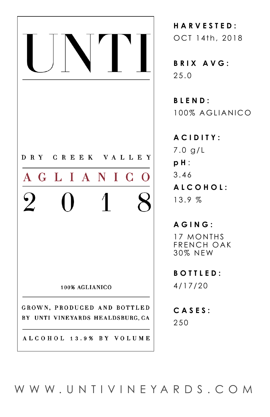

**HARVESTED:**  OCT 14th, 2018

**BRIX AVG:** 25.0

**BLEND:** 100% AGLIANICO

**ACIDITY:** 7.0 g/L **p H** : 3.46 **ALCOHOL:** 13.9 %

**AGING:** 17 MONTHS FRENCH OAK 30% NEW

**BOTTLED:** 4/17/20

**CASES:**  250

[WWW.UNTIVINEYARDS.COM](http://www.UNTIVINEYARDS.com)